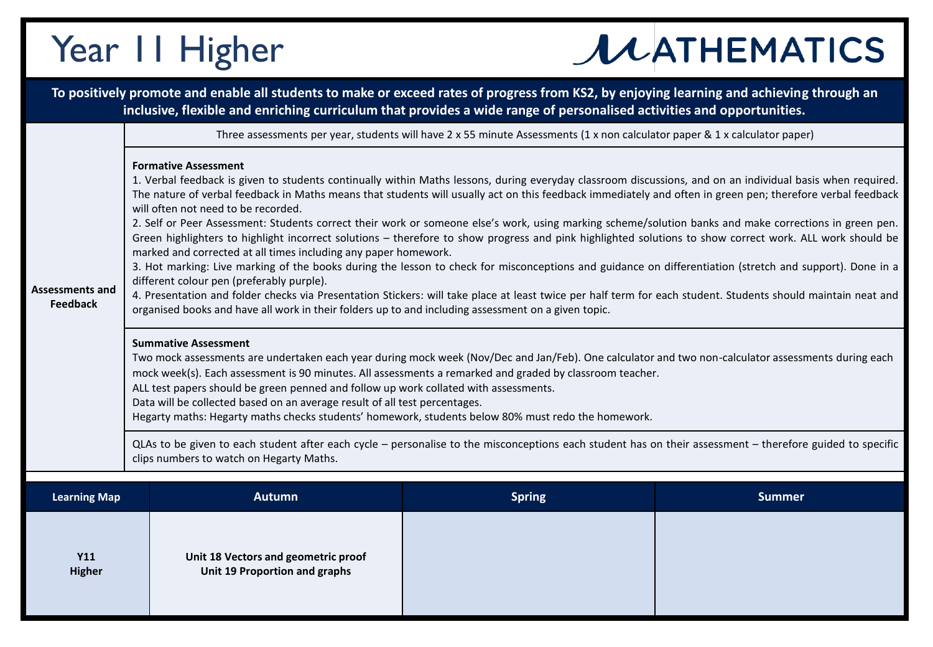## Year 11 Higher

## **JUATHEMATICS**

|                                           |                                                                                                                                                                                                                                                                                                                                                                                                                                                                                                                                                                                                                                                                                                                                                                                                                                                                                                                                                                                                                                                                                                                                                                                                                                                                                                                                                                                                                                                                                                                                                                                                                                                                                                                                                                                                                                                        |                                                                      | To positively promote and enable all students to make or exceed rates of progress from KS2, by enjoying learning and achieving through an<br>inclusive, flexible and enriching curriculum that provides a wide range of personalised activities and opportunities. |               |  |  |
|-------------------------------------------|--------------------------------------------------------------------------------------------------------------------------------------------------------------------------------------------------------------------------------------------------------------------------------------------------------------------------------------------------------------------------------------------------------------------------------------------------------------------------------------------------------------------------------------------------------------------------------------------------------------------------------------------------------------------------------------------------------------------------------------------------------------------------------------------------------------------------------------------------------------------------------------------------------------------------------------------------------------------------------------------------------------------------------------------------------------------------------------------------------------------------------------------------------------------------------------------------------------------------------------------------------------------------------------------------------------------------------------------------------------------------------------------------------------------------------------------------------------------------------------------------------------------------------------------------------------------------------------------------------------------------------------------------------------------------------------------------------------------------------------------------------------------------------------------------------------------------------------------------------|----------------------------------------------------------------------|--------------------------------------------------------------------------------------------------------------------------------------------------------------------------------------------------------------------------------------------------------------------|---------------|--|--|
|                                           | Three assessments per year, students will have 2 x 55 minute Assessments (1 x non calculator paper & 1 x calculator paper)                                                                                                                                                                                                                                                                                                                                                                                                                                                                                                                                                                                                                                                                                                                                                                                                                                                                                                                                                                                                                                                                                                                                                                                                                                                                                                                                                                                                                                                                                                                                                                                                                                                                                                                             |                                                                      |                                                                                                                                                                                                                                                                    |               |  |  |
| <b>Assessments and</b><br><b>Feedback</b> | <b>Formative Assessment</b><br>1. Verbal feedback is given to students continually within Maths lessons, during everyday classroom discussions, and on an individual basis when required.<br>The nature of verbal feedback in Maths means that students will usually act on this feedback immediately and often in green pen; therefore verbal feedback<br>will often not need to be recorded.<br>2. Self or Peer Assessment: Students correct their work or someone else's work, using marking scheme/solution banks and make corrections in green pen.<br>Green highlighters to highlight incorrect solutions - therefore to show progress and pink highlighted solutions to show correct work. ALL work should be<br>marked and corrected at all times including any paper homework.<br>3. Hot marking: Live marking of the books during the lesson to check for misconceptions and guidance on differentiation (stretch and support). Done in a<br>different colour pen (preferably purple).<br>4. Presentation and folder checks via Presentation Stickers: will take place at least twice per half term for each student. Students should maintain neat and<br>organised books and have all work in their folders up to and including assessment on a given topic.<br><b>Summative Assessment</b><br>Two mock assessments are undertaken each year during mock week (Nov/Dec and Jan/Feb). One calculator and two non-calculator assessments during each<br>mock week(s). Each assessment is 90 minutes. All assessments a remarked and graded by classroom teacher.<br>ALL test papers should be green penned and follow up work collated with assessments.<br>Data will be collected based on an average result of all test percentages.<br>Hegarty maths: Hegarty maths checks students' homework, students below 80% must redo the homework. |                                                                      |                                                                                                                                                                                                                                                                    |               |  |  |
|                                           | QLAs to be given to each student after each cycle - personalise to the misconceptions each student has on their assessment - therefore guided to specific<br>clips numbers to watch on Hegarty Maths.                                                                                                                                                                                                                                                                                                                                                                                                                                                                                                                                                                                                                                                                                                                                                                                                                                                                                                                                                                                                                                                                                                                                                                                                                                                                                                                                                                                                                                                                                                                                                                                                                                                  |                                                                      |                                                                                                                                                                                                                                                                    |               |  |  |
|                                           |                                                                                                                                                                                                                                                                                                                                                                                                                                                                                                                                                                                                                                                                                                                                                                                                                                                                                                                                                                                                                                                                                                                                                                                                                                                                                                                                                                                                                                                                                                                                                                                                                                                                                                                                                                                                                                                        |                                                                      |                                                                                                                                                                                                                                                                    |               |  |  |
| <b>Learning Map</b>                       |                                                                                                                                                                                                                                                                                                                                                                                                                                                                                                                                                                                                                                                                                                                                                                                                                                                                                                                                                                                                                                                                                                                                                                                                                                                                                                                                                                                                                                                                                                                                                                                                                                                                                                                                                                                                                                                        | <b>Autumn</b>                                                        | <b>Spring</b>                                                                                                                                                                                                                                                      | <b>Summer</b> |  |  |
| <b>Y11</b><br><b>Higher</b>               |                                                                                                                                                                                                                                                                                                                                                                                                                                                                                                                                                                                                                                                                                                                                                                                                                                                                                                                                                                                                                                                                                                                                                                                                                                                                                                                                                                                                                                                                                                                                                                                                                                                                                                                                                                                                                                                        | Unit 18 Vectors and geometric proof<br>Unit 19 Proportion and graphs |                                                                                                                                                                                                                                                                    |               |  |  |